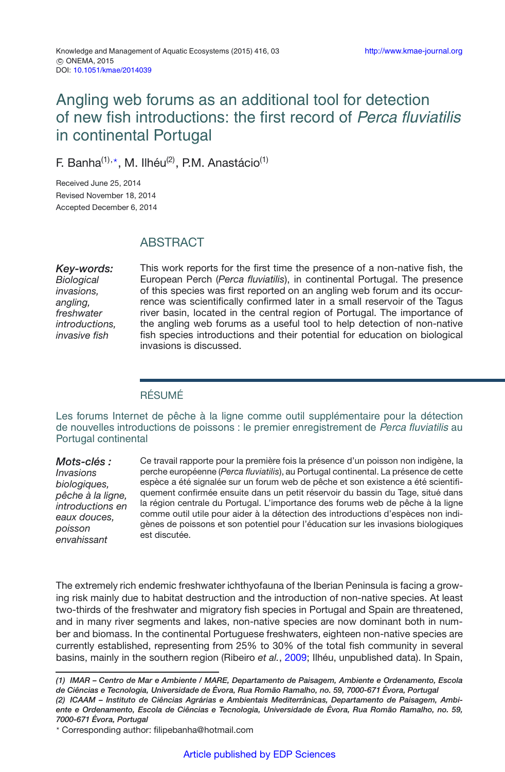# Angling web forums as an additional tool for detection of new fish introductions: the first record of Perca fluviatilis in continental Portugal

F. Banha<sup>(1),\*</sup>, M. Ilhéu<sup>(2)</sup>, P.M. Anastácio<sup>(1)</sup>

Received June 25, 2014 Revised November 18, 2014 Accepted December 6, 2014

## **ABSTRACT**

*Key-words: Biological invasions, angling, freshwater introductions, invasive fish*

This work reports for the first time the presence of a non-native fish, the European Perch (*Perca fluviatilis*), in continental Portugal. The presence of this species was first reported on an angling web forum and its occurrence was scientifically confirmed later in a small reservoir of the Tagus river basin, located in the central region of Portugal. The importance of the angling web forums as a useful tool to help detection of non-native fish species introductions and their potential for education on biological invasions is discussed.

#### RÉSUMÉ

Les forums Internet de pêche à la ligne comme outil supplémentaire pour la détection de nouvelles introductions de poissons : le premier enregistrement de Perca fluviatilis au Portugal continental

*Mots-clés : Invasions biologiques, pêche à la ligne, introductions en eaux douces, poisson envahissant*

Ce travail rapporte pour la première fois la présence d'un poisson non indigène, la perche européenne (*Perca fluviatilis*), au Portugal continental. La présence de cette espèce a été signalée sur un forum web de pêche et son existence a été scientifiquement confirmée ensuite dans un petit réservoir du bassin du Tage, situé dans la région centrale du Portugal. L'importance des forums web de pêche à la ligne comme outil utile pour aider à la détection des introductions d'espèces non indigènes de poissons et son potentiel pour l'éducation sur les invasions biologiques est discutée.

The extremely rich endemic freshwater ichthyofauna of the Iberian Peninsula is facing a growing risk mainly due to habitat destruction and the introduction of non-native species. At least two-thirds of the freshwater and migratory fish species in Portugal and Spain are threatened, and in many river segments and lakes, non-native species are now dominant both in number and biomass. In the continental Portuguese freshwaters, eighteen non-native species are currently established, representing from 25% to 30% of the total fish community in several basins, mainly in the southern region (Ribeiro *et al.*, [2009](#page-4-0); Ilhéu, unpublished data). In Spain,

- Corresponding author: filipebanha@hotmail.com

*<sup>(1)</sup> IMAR – Centro de Mar e Ambiente / MARE, Departamento de Paisagem, Ambiente e Ordenamento, Escola de Ciências e Tecnologia, Universidade de Évora, Rua Romão Ramalho, no. 59, 7000-671 Évora, Portugal (2) ICAAM – Instituto de Ciências Agrárias e Ambientais Mediterrânicas, Departamento de Paisagem, Ambiente e Ordenamento, Escola de Ciências e Tecnologia, Universidade de Évora, Rua Romão Ramalho, no. 59, 7000-671 Évora, Portugal*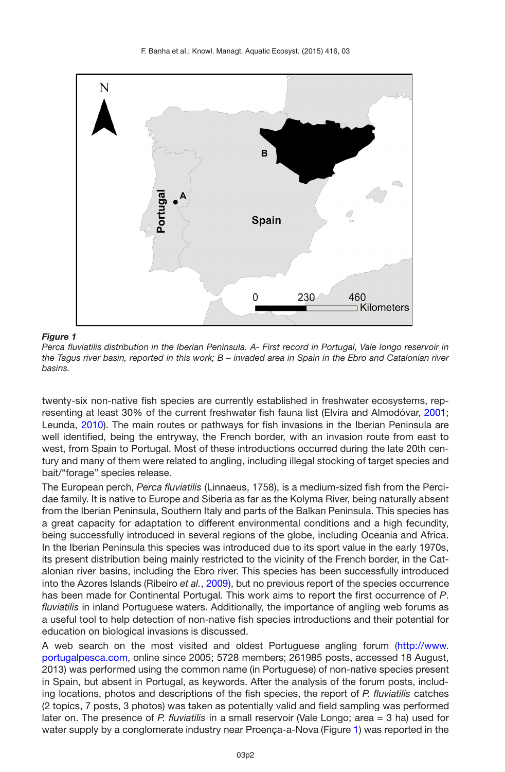<span id="page-1-0"></span>

*Figure 1*

*Perca fluviatilis distribution in the Iberian Peninsula. A- First record in Portugal, Vale longo reservoir in the Tagus river basin, reported in this work; B – invaded area in Spain in the Ebro and Catalonian river basins.*

twenty-six non-native fish species are currently established in freshwater ecosystems, representing at least 30% of the current freshwater fish fauna list (Elvira and Almodóvar, [2001;](#page-4-1) Leunda, [2010](#page-4-2)). The main routes or pathways for fish invasions in the Iberian Peninsula are well identified, being the entryway, the French border, with an invasion route from east to west, from Spain to Portugal. Most of these introductions occurred during the late 20th century and many of them were related to angling, including illegal stocking of target species and bait/"forage" species release.

The European perch, *Perca fluviatilis* (Linnaeus, 1758), is a medium-sized fish from the Percidae family. It is native to Europe and Siberia as far as the Kolyma River, being naturally absent from the Iberian Peninsula, Southern Italy and parts of the Balkan Peninsula. This species has a great capacity for adaptation to different environmental conditions and a high fecundity, being successfully introduced in several regions of the globe, including Oceania and Africa. In the Iberian Peninsula this species was introduced due to its sport value in the early 1970s, its present distribution being mainly restricted to the vicinity of the French border, in the Catalonian river basins, including the Ebro river. This species has been successfully introduced into the Azores Islands (Ribeiro *et al.*, [2009\)](#page-4-0), but no previous report of the species occurrence has been made for Continental Portugal. This work aims to report the first occurrence of *P*. *fluviatilis* in inland Portuguese waters. Additionally, the importance of angling web forums as a useful tool to help detection of non-native fish species introductions and their potential for education on biological invasions is discussed.

A web search on the most visited and oldest Portuguese angling forum [\(http://www.](http://www.portugalpesca.com) [portugalpesca.com,](http://www.portugalpesca.com) online since 2005; 5728 members; 261985 posts, accessed 18 August, 2013) was performed using the common name (in Portuguese) of non-native species present in Spain, but absent in Portugal, as keywords. After the analysis of the forum posts, including locations, photos and descriptions of the fish species, the report of *P. fluviatilis* catches (2 topics, 7 posts, 3 photos) was taken as potentially valid and field sampling was performed later on. The presence of *P. fluviatilis* in a small reservoir (Vale Longo; area = 3 ha) used for water supply by a conglomerate industry near Proença-a-Nova (Figure [1\)](#page-1-0) was reported in the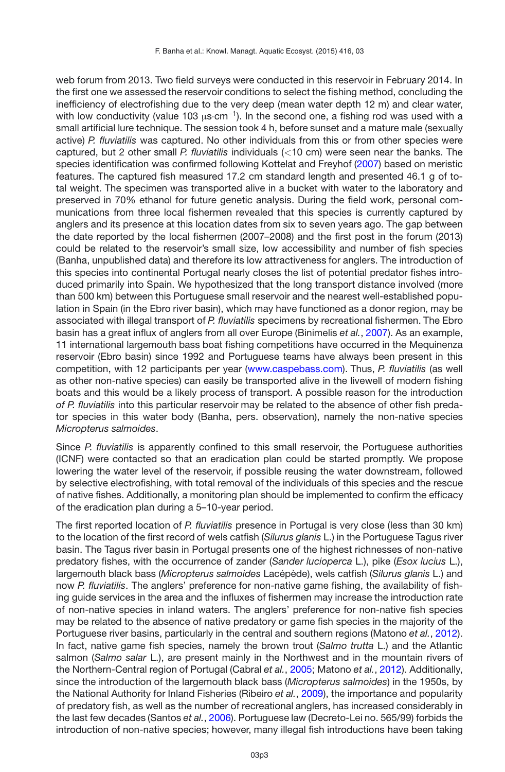web forum from 2013. Two field surveys were conducted in this reservoir in February 2014. In the first one we assessed the reservoir conditions to select the fishing method, concluding the inefficiency of electrofishing due to the very deep (mean water depth 12 m) and clear water, with low conductivity (value 103  $\mu$ s·cm<sup>-1</sup>). In the second one, a fishing rod was used with a small artificial lure technique. The session took 4 h, before sunset and a mature male (sexually active) *P. fluviatilis* was captured. No other individuals from this or from other species were captured, but 2 other small *P. fluviatilis* individuals (*<*10 cm) were seen near the banks. The species identification was confirmed following Kottelat and Freyhof [\(2007\)](#page-4-3) based on meristic features. The captured fish measured 17.2 cm standard length and presented 46.1 g of total weight. The specimen was transported alive in a bucket with water to the laboratory and preserved in 70% ethanol for future genetic analysis. During the field work, personal communications from three local fishermen revealed that this species is currently captured by anglers and its presence at this location dates from six to seven years ago. The gap between the date reported by the local fishermen (2007–2008) and the first post in the forum (2013) could be related to the reservoir's small size, low accessibility and number of fish species (Banha, unpublished data) and therefore its low attractiveness for anglers. The introduction of this species into continental Portugal nearly closes the list of potential predator fishes introduced primarily into Spain. We hypothesized that the long transport distance involved (more than 500 km) between this Portuguese small reservoir and the nearest well-established population in Spain (in the Ebro river basin), which may have functioned as a donor region, may be associated with illegal transport of *P. fluviatilis* specimens by recreational fishermen. The Ebro basin has a great influx of anglers from all over Europe (Binimelis *et al.*, [2007\)](#page-4-4). As an example, 11 international largemouth bass boat fishing competitions have occurred in the Mequinenza reservoir (Ebro basin) since 1992 and Portuguese teams have always been present in this competition, with 12 participants per year [\(www.caspebass.com\)](www.caspebass.com). Thus, *P. fluviatilis* (as well as other non-native species) can easily be transported alive in the livewell of modern fishing boats and this would be a likely process of transport. A possible reason for the introduction *of P. fluviatilis* into this particular reservoir may be related to the absence of other fish predator species in this water body (Banha, pers. observation), namely the non-native species *Micropterus salmoides*.

Since *P. fluviatilis* is apparently confined to this small reservoir, the Portuguese authorities (ICNF) were contacted so that an eradication plan could be started promptly. We propose lowering the water level of the reservoir, if possible reusing the water downstream, followed by selective electrofishing, with total removal of the individuals of this species and the rescue of native fishes. Additionally, a monitoring plan should be implemented to confirm the efficacy of the eradication plan during a 5–10-year period.

The first reported location of *P. fluviatilis* presence in Portugal is very close (less than 30 km) to the location of the first record of wels catfish (*Silurus glanis* L.) in the Portuguese Tagus river basin. The Tagus river basin in Portugal presents one of the highest richnesses of non-native predatory fishes, with the occurrence of zander (*Sander lucioperca* L.), pike (*Esox lucius* L.), largemouth black bass (*Micropterus salmoides* Lacépède), wels catfish (*Silurus glanis* L.) and now *P. fluviatilis*. The anglers' preference for non-native game fishing, the availability of fishing guide services in the area and the influxes of fishermen may increase the introduction rate of non-native species in inland waters. The anglers' preference for non-native fish species may be related to the absence of native predatory or game fish species in the majority of the Portuguese river basins, particularly in the central and southern regions (Matono *et al.*, [2012](#page-4-5)). In fact, native game fish species, namely the brown trout (*Salmo trutta* L.) and the Atlantic salmon (*Salmo salar* L.), are present mainly in the Northwest and in the mountain rivers of the Northern-Central region of Portugal (Cabral *et al.*, [2005](#page-4-6); Matono *et al.*, [2012\)](#page-4-5). Additionally, since the introduction of the largemouth black bass (*Micropterus salmoides*) in the 1950s, by the National Authority for Inland Fisheries (Ribeiro *et al.*, [2009\)](#page-4-0), the importance and popularity of predatory fish, as well as the number of recreational anglers, has increased considerably in the last few decades (Santos *et al.*, [2006](#page-4-7)). Portuguese law (Decreto-Lei no. 565/99) forbids the introduction of non-native species; however, many illegal fish introductions have been taking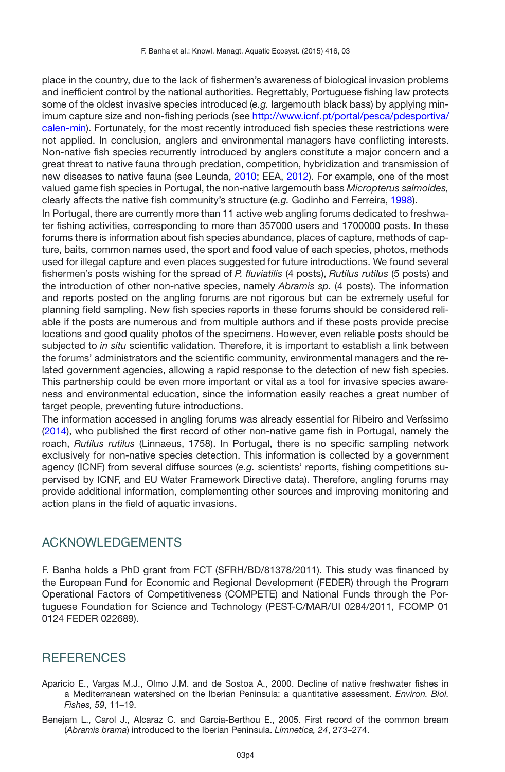place in the country, due to the lack of fishermen's awareness of biological invasion problems and inefficient control by the national authorities. Regrettably, Portuguese fishing law protects some of the oldest invasive species introduced (*e.g.* largemouth black bass) by applying minimum capture size and non-fishing periods (see [http://www.icnf.pt/portal/pesca/pdesportiva/](http://www.icnf.pt/portal/pesca/pdesportiva/calen-min) [calen-min\)](http://www.icnf.pt/portal/pesca/pdesportiva/calen-min). Fortunately, for the most recently introduced fish species these restrictions were not applied. In conclusion, anglers and environmental managers have conflicting interests. Non-native fish species recurrently introduced by anglers constitute a major concern and a great threat to native fauna through predation, competition, hybridization and transmission of new diseases to native fauna (see Leunda, [2010](#page-4-2); EEA, [2012\)](#page-4-8). For example, one of the most valued game fish species in Portugal, the non-native largemouth bass *Micropterus salmoides,* clearly affects the native fish community's structure (*e.g.* Godinho and Ferreira, [1998\)](#page-4-9).

In Portugal, there are currently more than 11 active web angling forums dedicated to freshwater fishing activities, corresponding to more than 357000 users and 1700000 posts. In these forums there is information about fish species abundance, places of capture, methods of capture, baits, common names used, the sport and food value of each species, photos, methods used for illegal capture and even places suggested for future introductions. We found several fishermen's posts wishing for the spread of *P. fluviatilis* (4 posts), *Rutilus rutilus* (5 posts) and the introduction of other non-native species, namely *Abramis sp.* (4 posts). The information and reports posted on the angling forums are not rigorous but can be extremely useful for planning field sampling. New fish species reports in these forums should be considered reliable if the posts are numerous and from multiple authors and if these posts provide precise locations and good quality photos of the specimens. However, even reliable posts should be subjected to *in situ* scientific validation. Therefore, it is important to establish a link between the forums' administrators and the scientific community, environmental managers and the related government agencies, allowing a rapid response to the detection of new fish species. This partnership could be even more important or vital as a tool for invasive species awareness and environmental education, since the information easily reaches a great number of target people, preventing future introductions.

The information accessed in angling forums was already essential for Ribeiro and Veríssimo [\(2014](#page-4-10)), who published the first record of other non-native game fish in Portugal, namely the roach, *Rutilus rutilus* (Linnaeus, 1758). In Portugal, there is no specific sampling network exclusively for non-native species detection. This information is collected by a government agency (ICNF) from several diffuse sources (*e.g.* scientists' reports, fishing competitions supervised by ICNF, and EU Water Framework Directive data). Therefore, angling forums may provide additional information, complementing other sources and improving monitoring and action plans in the field of aquatic invasions.

## ACKNOWLEDGEMENTS

F. Banha holds a PhD grant from FCT (SFRH/BD/81378/2011). This study was financed by the European Fund for Economic and Regional Development (FEDER) through the Program Operational Factors of Competitiveness (COMPETE) and National Funds through the Portuguese Foundation for Science and Technology (PEST-C/MAR/UI 0284/2011, FCOMP 01 0124 FEDER 022689).

## **REFERENCES**

- Aparicio E., Vargas M.J., Olmo J.M. and de Sostoa A., 2000. Decline of native freshwater fishes in a Mediterranean watershed on the Iberian Peninsula: a quantitative assessment. *Environ. Biol. Fishes, 59*, 11–19.
- Benejam L., Carol J., Alcaraz C. and García-Berthou E., 2005. First record of the common bream (*Abramis brama*) introduced to the Iberian Peninsula. *Limnetica, 24*, 273–274.